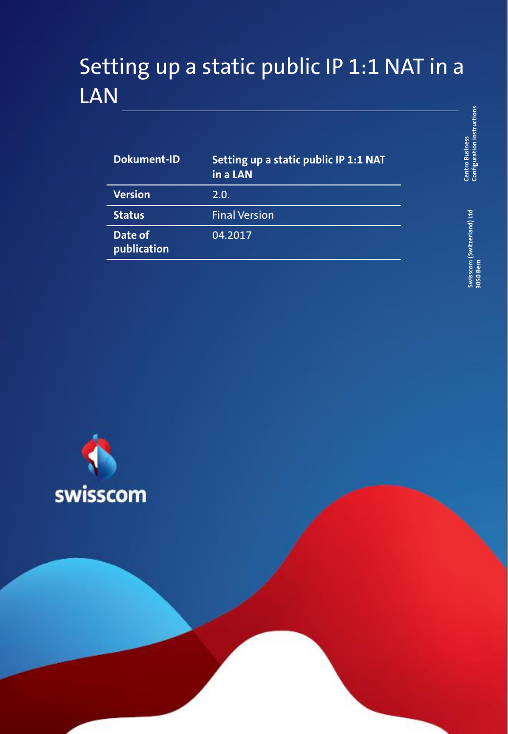# Setting up a static public IP 1:1 NAT in a LAN

| <b>Dokument-ID</b>     | Setting up a static public IP 1:1 NAT<br>in a LAN |
|------------------------|---------------------------------------------------|
| <b>Version</b>         | 2.0.                                              |
| <b>Status</b>          | <b>Final Version</b>                              |
| Date of<br>publication | 04.2017                                           |

Centro Business<br>Configuration instructions **Configuration instructions Centro Business** 

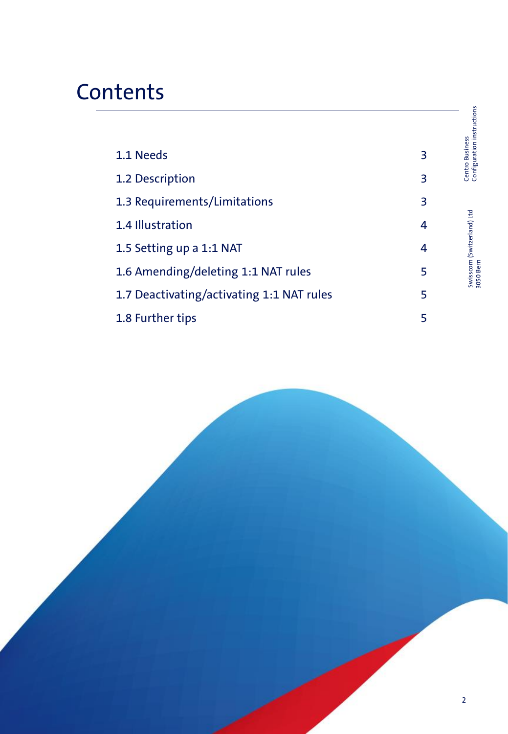# **Contents**

|                                           |   | Configuration instructions              |
|-------------------------------------------|---|-----------------------------------------|
| 1.1 Needs                                 | 3 | Centro Business                         |
| 1.2 Description                           | 3 |                                         |
| 1.3 Requirements/Limitations              | 3 |                                         |
| 1.4 Illustration                          | 4 |                                         |
| 1.5 Setting up a 1:1 NAT                  | 4 | Swisscom (Switzerland) Ltd<br>3050 Bern |
| 1.6 Amending/deleting 1:1 NAT rules       | 5 |                                         |
| 1.7 Deactivating/activating 1:1 NAT rules | 5 |                                         |
| 1.8 Further tips                          | 5 |                                         |

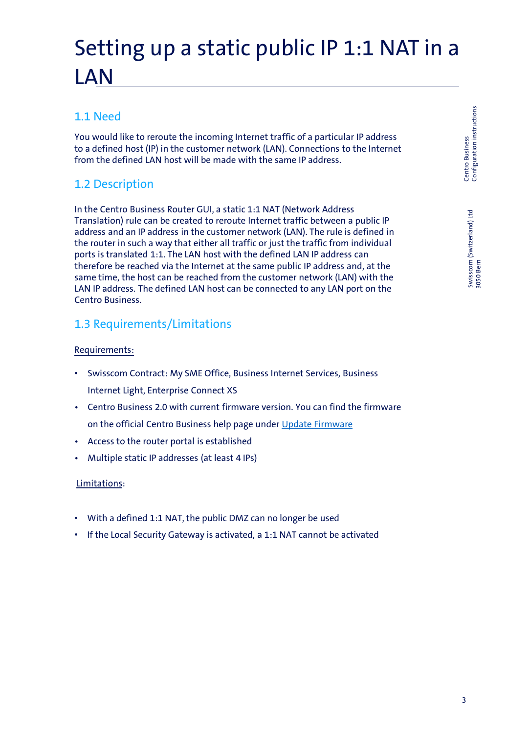# Setting up a static public IP 1:1 NAT in a LAN

# 1.1 Need

You would like to reroute the incoming Internet traffic of a particular IP address to a defined host (IP) in the customer network (LAN). Connections to the Internet from the defined LAN host will be made with the same IP address.

# 1.2 Description

In the Centro Business Router GUI, a static 1:1 NAT (Network Address Translation) rule can be created to reroute Internet traffic between a public IP address and an IP address in the customer network (LAN). The rule is defined in the router in such a way that either all traffic or just the traffic from individual ports is translated 1:1. The LAN host with the defined LAN IP address can therefore be reached via the Internet at the same public IP address and, at the same time, the host can be reached from the customer network (LAN) with the LAN IP address. The defined LAN host can be connected to any LAN port on the Centro Business.

## 1.3 Requirements/Limitations

#### Requirements:

- Swisscom Contract: My SME Office, Business Internet Services, Business Internet Light, Enterprise Connect XS
- Centro Business 2.0 with current firmware version. You can find the firmware on the official Centro Business help page under [Update Firmware](http://www.swisscom.ch/centrobusiness2-fw)
- Access to the router portal is established
- Multiple static IP addresses (at least 4 IPs)

#### Limitations:

- With a defined 1:1 NAT, the public DMZ can no longer be used
- If the Local Security Gateway is activated, a 1:1 NAT cannot be activated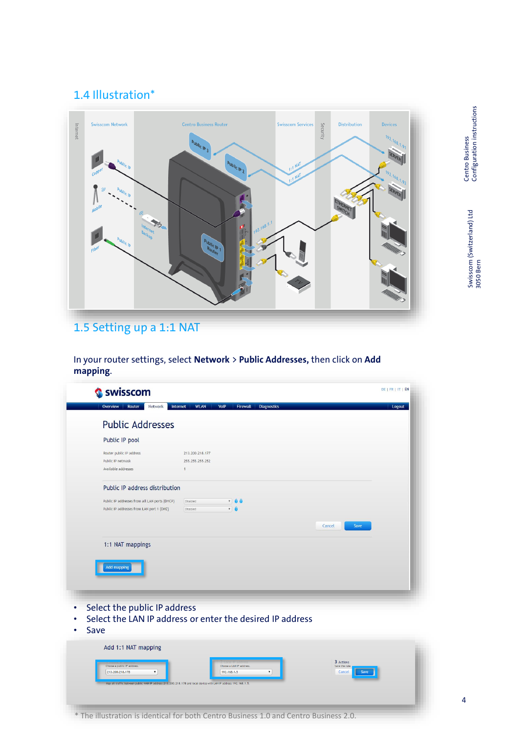## 1.4 Illustration\*



# 1.5 Setting up a 1:1 NAT

In your router settings, select **Network** > **Public Addresses,** then click on **Add mapping**.

| Overview<br>Network<br>Router                                                              | <b>WLAN</b><br>VoIP<br><b>Firewall</b><br><b>Diagnostics</b><br>Internet | Logout         |
|--------------------------------------------------------------------------------------------|--------------------------------------------------------------------------|----------------|
| <b>Public Addresses</b>                                                                    |                                                                          |                |
| Public IP pool                                                                             |                                                                          |                |
| Router public IP address<br>Public IP netmask<br>Available addresses                       | 213, 200, 218, 177<br>255.255.255.252<br>$\mathbf{1}$                    |                |
| Public IP address distribution                                                             |                                                                          |                |
| Public IP addresses from all LAN ports (DHCP)<br>Public IP addresses from LAN port 1 (DMZ) | $\frac{1}{2}$<br>Disabled<br>$\mathbf{v}$ $\mathbf{0}$<br>Disabled       |                |
|                                                                                            |                                                                          | Cancel<br>Save |
| <b>Add mapping</b><br>Select the public IP address                                         | Select the LAN IP address or enter the desired IP address                |                |
|                                                                                            |                                                                          |                |
| Save<br>Add 1:1 NAT mapping                                                                |                                                                          |                |